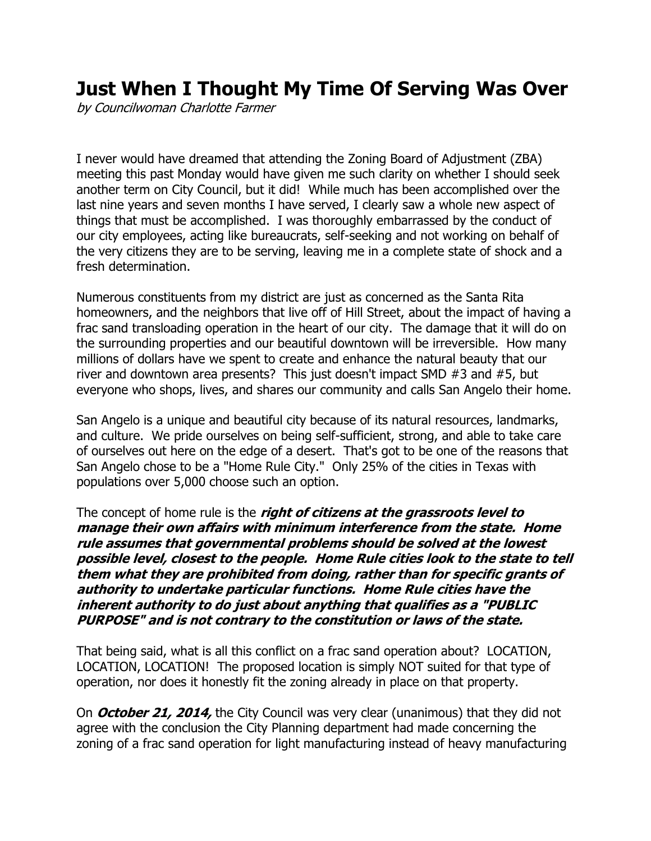## **Just When I Thought My Time Of Serving Was Over**

by Councilwoman Charlotte Farmer

I never would have dreamed that attending the Zoning Board of Adjustment (ZBA) meeting this past Monday would have given me such clarity on whether I should seek another term on City Council, but it did! While much has been accomplished over the last nine years and seven months I have served, I clearly saw a whole new aspect of things that must be accomplished. I was thoroughly embarrassed by the conduct of our city employees, acting like bureaucrats, self-seeking and not working on behalf of the very citizens they are to be serving, leaving me in a complete state of shock and a fresh determination.

Numerous constituents from my district are just as concerned as the Santa Rita homeowners, and the neighbors that live off of Hill Street, about the impact of having a frac sand transloading operation in the heart of our city. The damage that it will do on the surrounding properties and our beautiful downtown will be irreversible. How many millions of dollars have we spent to create and enhance the natural beauty that our river and downtown area presents? This just doesn't impact SMD #3 and #5, but everyone who shops, lives, and shares our community and calls San Angelo their home.

San Angelo is a unique and beautiful city because of its natural resources, landmarks, and culture. We pride ourselves on being self-sufficient, strong, and able to take care of ourselves out here on the edge of a desert. That's got to be one of the reasons that San Angelo chose to be a "Home Rule City." Only 25% of the cities in Texas with populations over 5,000 choose such an option.

The concept of home rule is the **right of citizens at the grassroots level to manage their own affairs with minimum interference from the state. Home rule assumes that governmental problems should be solved at the lowest possible level, closest to the people. Home Rule cities look to the state to tell them what they are prohibited from doing, rather than for specific grants of authority to undertake particular functions. Home Rule cities have the inherent authority to do just about anything that qualifies as a "PUBLIC PURPOSE" and is not contrary to the constitution or laws of the state.**

That being said, what is all this conflict on a frac sand operation about? LOCATION, LOCATION, LOCATION! The proposed location is simply NOT suited for that type of operation, nor does it honestly fit the zoning already in place on that property.

On **October 21, 2014,** the City Council was very clear (unanimous) that they did not agree with the conclusion the City Planning department had made concerning the zoning of a frac sand operation for light manufacturing instead of heavy manufacturing